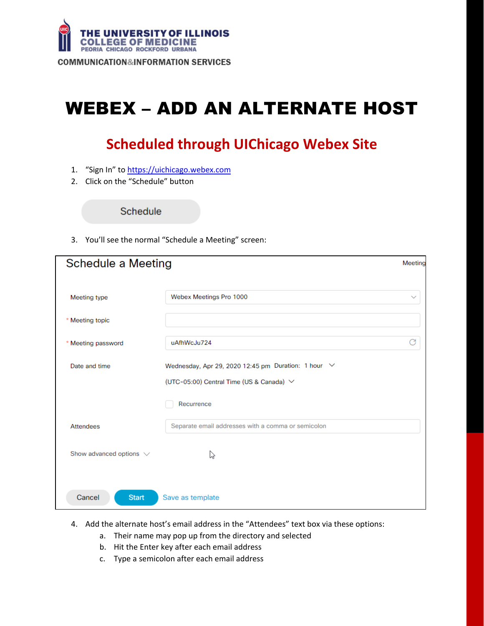

# WEBEX – ADD AN ALTERNATE HOST

## **Scheduled through UIChicago Webex Site**

- 1. "Sign In" to [https://uichicago.webex.com](https://uichicago.webex.com/)
- 2. Click on the "Schedule" button

Schedule

3. You'll see the normal "Schedule a Meeting" screen:

| <b>Schedule a Meeting</b>    |                                                                                                           | Meeting      |
|------------------------------|-----------------------------------------------------------------------------------------------------------|--------------|
| Meeting type                 | Webex Meetings Pro 1000                                                                                   | $\checkmark$ |
| * Meeting topic              |                                                                                                           |              |
| * Meeting password           | uAfhWcJu724                                                                                               | G            |
| Date and time                | Wednesday, Apr 29, 2020 12:45 pm Duration: 1 hour $\vee$<br>(UTC-05:00) Central Time (US & Canada) $\vee$ |              |
|                              | Recurrence                                                                                                |              |
| <b>Attendees</b>             | Separate email addresses with a comma or semicolon                                                        |              |
| Show advanced options $\vee$ | ß                                                                                                         |              |
| <b>Start</b><br>Cancel       | Save as template                                                                                          |              |

- 4. Add the alternate host's email address in the "Attendees" text box via these options:
	- a. Their name may pop up from the directory and selected
	- b. Hit the Enter key after each email address
	- c. Type a semicolon after each email address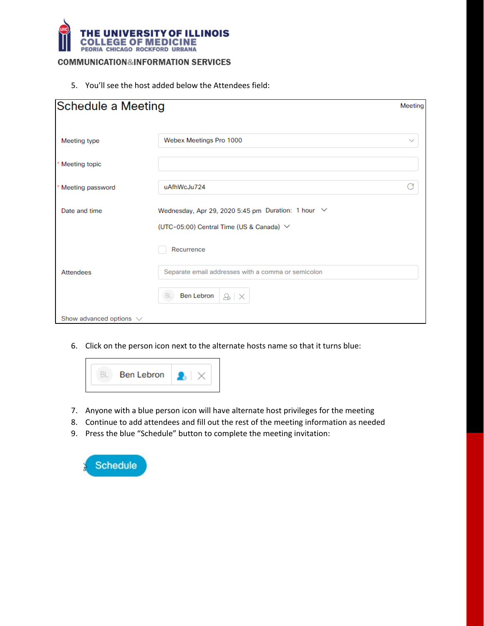

5. You'll see the host added below the Attendees field:

| Schedule a Meeting           |                                                    | Meeting |
|------------------------------|----------------------------------------------------|---------|
| Meeting type                 | Webex Meetings Pro 1000                            |         |
|                              |                                                    |         |
| * Meeting topic              |                                                    |         |
| Meeting password             | uAfhWcJu724                                        |         |
| Date and time                | Wednesday, Apr 29, 2020 5:45 pm Duration: 1 hour V |         |
|                              | (UTC-05:00) Central Time (US & Canada) $\vee$      |         |
|                              | Recurrence                                         |         |
| <b>Attendees</b>             | Separate email addresses with a comma or semicolon |         |
|                              | <b>Ben Lebron</b><br>BL<br>$8 \times$              |         |
| Show advanced options $\vee$ |                                                    |         |

6. Click on the person icon next to the alternate hosts name so that it turns blue:



- 7. Anyone with a blue person icon will have alternate host privileges for the meeting
- 8. Continue to add attendees and fill out the rest of the meeting information as needed
- 9. Press the blue "Schedule" button to complete the meeting invitation:

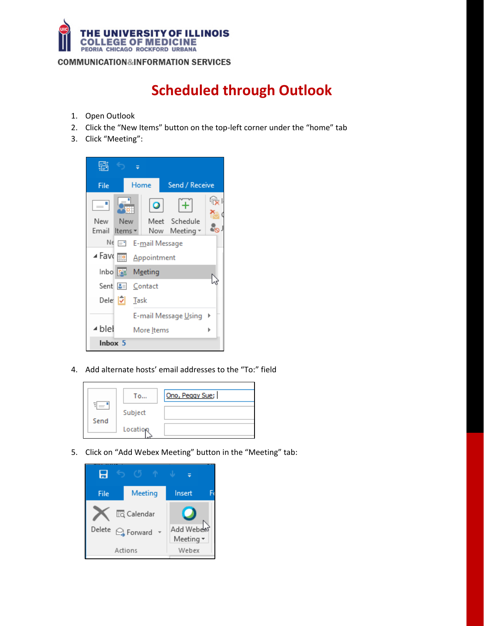

## **Scheduled through Outlook**

- 1. Open Outlook
- 2. Click the "New Items" button on the top-left corner under the "home" tab
- 3. Click "Meeting":



4. Add alternate hosts' email addresses to the "To:" field



5. Click on "Add Webex Meeting" button in the "Meeting" tab:

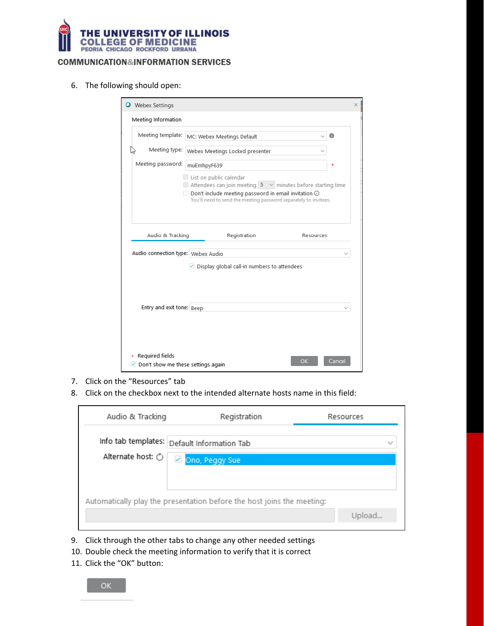

6. The following should open:

| <b>O</b> Webex Settings                                      |                                                                                                                                                                                                                                             | × |  |  |
|--------------------------------------------------------------|---------------------------------------------------------------------------------------------------------------------------------------------------------------------------------------------------------------------------------------------|---|--|--|
| Meeting Information                                          |                                                                                                                                                                                                                                             |   |  |  |
| Meeting template:                                            | A<br>MC: Webex Meetings Default                                                                                                                                                                                                             |   |  |  |
| Meeting type:                                                | Webex Meetings Locked presenter                                                                                                                                                                                                             |   |  |  |
| Meeting password:<br>muEmhpyF639                             |                                                                                                                                                                                                                                             |   |  |  |
|                                                              | List on public calendar<br>$\Box$ Attendees can join meeting $5 \lor$ minutes before starting time<br>$\Box$ Don't include meeting password in email invitation $\odot$<br>You'll need to send the meeting password separately to invitees. |   |  |  |
| Audio & Tracking                                             | Registration<br>Resources                                                                                                                                                                                                                   |   |  |  |
| Audio connection type: Webex Audio                           |                                                                                                                                                                                                                                             |   |  |  |
| Entry and exit tone: Beep                                    | ○ Display global call-in numbers to attendees                                                                                                                                                                                               |   |  |  |
| Required fields<br>$\vee$ Don't show me these settings again | Cancel<br>ок                                                                                                                                                                                                                                |   |  |  |

- 7. Click on the "Resources" tab
- 8. Click on the checkbox next to the intended alternate hosts name in this field:

| Audio & Tracking                                                       | Registration   | Resources |
|------------------------------------------------------------------------|----------------|-----------|
| Info tab templates: Default Information Tab                            |                |           |
| Alternate host: $\circlearrowright$                                    | Ono, Peggy Sue |           |
|                                                                        |                |           |
| Automatically play the presentation before the host joins the meeting: |                |           |
|                                                                        |                | Upload    |

- 9. Click through the other tabs to change any other needed settings
- 10. Double check the meeting information to verify that it is correct
- 11. Click the "OK" button: